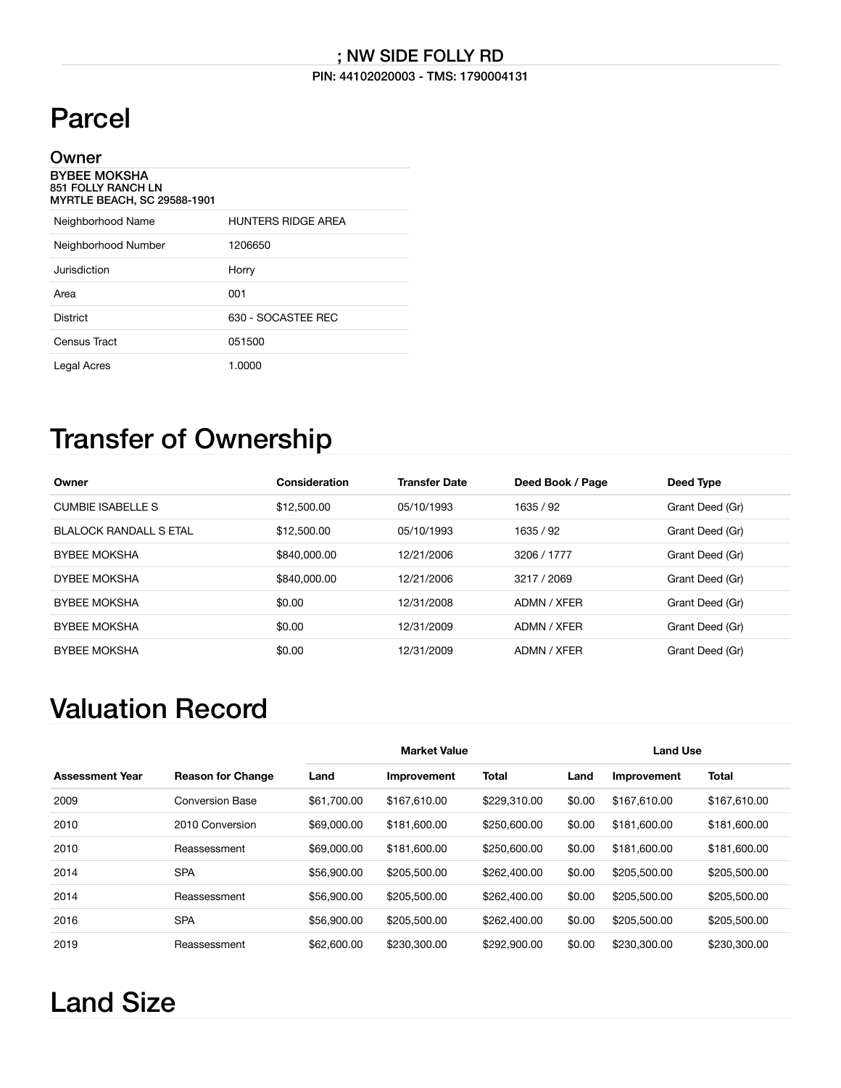### ; NW SIDE FOLLY RD

#### PIN: 44102020003 - TMS: 1790004131

# Parcel

| Owner                                                                                  |                    |
|----------------------------------------------------------------------------------------|--------------------|
| <b>BYBEE MOKSHA</b><br><b>851 FOLLY RANCH LN</b><br><b>MYRTLE BEACH, SC 29588-1901</b> |                    |
| Neighborhood Name                                                                      | HUNTERS RIDGE AREA |
| Neighborhood Number                                                                    | 1206650            |
| Jurisdiction                                                                           | Horry              |
| Area                                                                                   | 001                |
| <b>District</b>                                                                        | 630 - SOCASTEE REC |
| Census Tract                                                                           | 051500             |
| Legal Acres                                                                            | 1.0000             |

### Transfer of Ownership

| Owner                  | Consideration | <b>Transfer Date</b> | Deed Book / Page | Deed Type       |
|------------------------|---------------|----------------------|------------------|-----------------|
| CUMBIF ISABELLES       | \$12,500.00   | 05/10/1993           | 1635 / 92        | Grant Deed (Gr) |
| BLALOCK RANDALL S FTAL | \$12,500.00   | 05/10/1993           | 1635 / 92        | Grant Deed (Gr) |
| <b>BYBEE MOKSHA</b>    | \$840,000,00  | 12/21/2006           | 3206 / 1777      | Grant Deed (Gr) |
| <b>DYBEE MOKSHA</b>    | \$840,000,00  | 12/21/2006           | 3217 / 2069      | Grant Deed (Gr) |
| <b>BYBEE MOKSHA</b>    | \$0.00        | 12/31/2008           | ADMN / XFER      | Grant Deed (Gr) |
| <b>BYBEE MOKSHA</b>    | \$0.00        | 12/31/2009           | ADMN / XFER      | Grant Deed (Gr) |
| <b>BYBEE MOKSHA</b>    | \$0.00        | 12/31/2009           | ADMN / XFER      | Grant Deed (Gr) |

### Valuation Record

|                        |                          |             | <b>Market Value</b> |              |        | <b>Land Use</b> |              |  |
|------------------------|--------------------------|-------------|---------------------|--------------|--------|-----------------|--------------|--|
| <b>Assessment Year</b> | <b>Reason for Change</b> | Land        | <b>Improvement</b>  | <b>Total</b> | Land   | Improvement     | <b>Total</b> |  |
| 2009                   | <b>Conversion Base</b>   | \$61,700.00 | \$167,610.00        | \$229,310.00 | \$0.00 | \$167,610,00    | \$167,610,00 |  |
| 2010                   | 2010 Conversion          | \$69,000,00 | \$181,600,00        | \$250,600.00 | \$0.00 | \$181,600,00    | \$181,600.00 |  |
| 2010                   | Reassessment             | \$69,000,00 | \$181,600.00        | \$250,600.00 | \$0.00 | \$181,600.00    | \$181,600.00 |  |
| 2014                   | <b>SPA</b>               | \$56,900.00 | \$205,500.00        | \$262,400.00 | \$0.00 | \$205,500.00    | \$205,500.00 |  |
| 2014                   | Reassessment             | \$56,900.00 | \$205,500.00        | \$262,400.00 | \$0.00 | \$205,500.00    | \$205,500.00 |  |
| 2016                   | <b>SPA</b>               | \$56,900.00 | \$205,500.00        | \$262,400.00 | \$0.00 | \$205,500.00    | \$205,500.00 |  |
| 2019                   | Reassessment             | \$62,600.00 | \$230,300,00        | \$292,900.00 | \$0.00 | \$230,300.00    | \$230,300,00 |  |

## Land Size